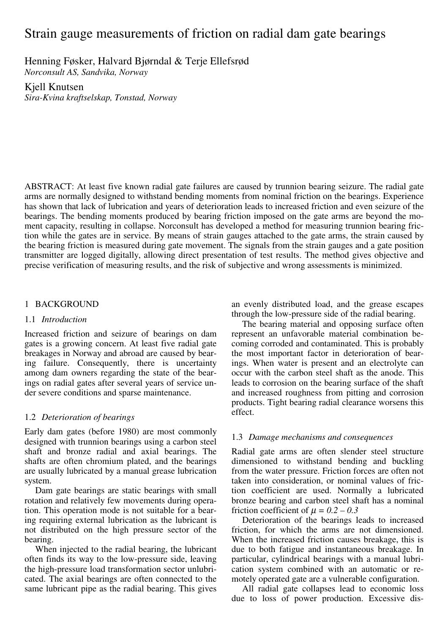# Strain gauge measurements of friction on radial dam gate bearings

Henning Føsker, Halvard Bjørndal & Terje Ellefsrød

*Norconsult AS, Sandvika, Norway* 

Kjell Knutsen *Sira-Kvina kraftselskap, Tonstad, Norway* 

ABSTRACT: At least five known radial gate failures are caused by trunnion bearing seizure. The radial gate arms are normally designed to withstand bending moments from nominal friction on the bearings. Experience has shown that lack of lubrication and years of deterioration leads to increased friction and even seizure of the bearings. The bending moments produced by bearing friction imposed on the gate arms are beyond the moment capacity, resulting in collapse. Norconsult has developed a method for measuring trunnion bearing friction while the gates are in service. By means of strain gauges attached to the gate arms, the strain caused by the bearing friction is measured during gate movement. The signals from the strain gauges and a gate position transmitter are logged digitally, allowing direct presentation of test results. The method gives objective and precise verification of measuring results, and the risk of subjective and wrong assessments is minimized.

# 1 BACKGROUND

# 1.1 *Introduction*

Increased friction and seizure of bearings on dam gates is a growing concern. At least five radial gate breakages in Norway and abroad are caused by bearing failure. Consequently, there is uncertainty among dam owners regarding the state of the bearings on radial gates after several years of service under severe conditions and sparse maintenance.

# 1.2 *Deterioration of bearings*

Early dam gates (before 1980) are most commonly designed with trunnion bearings using a carbon steel shaft and bronze radial and axial bearings. The shafts are often chromium plated, and the bearings are usually lubricated by a manual grease lubrication system.

Dam gate bearings are static bearings with small rotation and relatively few movements during operation. This operation mode is not suitable for a bearing requiring external lubrication as the lubricant is not distributed on the high pressure sector of the bearing.

When injected to the radial bearing, the lubricant often finds its way to the low-pressure side, leaving the high-pressure load transformation sector unlubricated. The axial bearings are often connected to the same lubricant pipe as the radial bearing. This gives

an evenly distributed load, and the grease escapes through the low-pressure side of the radial bearing.

The bearing material and opposing surface often represent an unfavorable material combination becoming corroded and contaminated. This is probably the most important factor in deterioration of bearings. When water is present and an electrolyte can occur with the carbon steel shaft as the anode. This leads to corrosion on the bearing surface of the shaft and increased roughness from pitting and corrosion products. Tight bearing radial clearance worsens this effect.

# 1.3 *Damage mechanisms and consequences*

Radial gate arms are often slender steel structure dimensioned to withstand bending and buckling from the water pressure. Friction forces are often not taken into consideration, or nominal values of friction coefficient are used. Normally a lubricated bronze bearing and carbon steel shaft has a nominal friction coefficient of  $\mu = 0.2 - 0.3$ 

Deterioration of the bearings leads to increased friction, for which the arms are not dimensioned. When the increased friction causes breakage, this is due to both fatigue and instantaneous breakage. In particular, cylindrical bearings with a manual lubrication system combined with an automatic or remotely operated gate are a vulnerable configuration.

All radial gate collapses lead to economic loss due to loss of power production. Excessive dis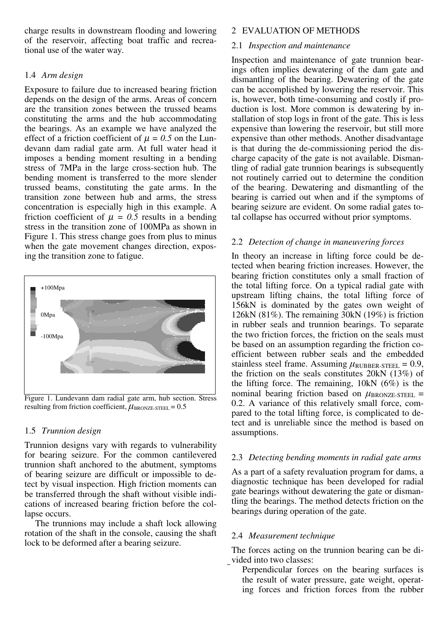charge results in downstream flooding and lowering of the reservoir, affecting boat traffic and recreational use of the water way.

## 1.4 *Arm design*

Exposure to failure due to increased bearing friction depends on the design of the arms. Areas of concern are the transition zones between the trussed beams constituting the arms and the hub accommodating the bearings. As an example we have analyzed the effect of a friction coefficient of  $\mu = 0.5$  on the Lundevann dam radial gate arm. At full water head it imposes a bending moment resulting in a bending stress of 7MPa in the large cross-section hub. The bending moment is transferred to the more slender trussed beams, constituting the gate arms. In the transition zone between hub and arms, the stress concentration is especially high in this example. A friction coefficient of  $\mu = 0.5$  results in a bending stress in the transition zone of 100MPa as shown in Figure 1. This stress change goes from plus to minus when the gate movement changes direction, exposing the transition zone to fatigue.



Figure 1. Lundevann dam radial gate arm, hub section. Stress resulting from friction coefficient,  $\mu_{\text{BRONZE-STEEL}} = 0.5$ 

# 1.5 *Trunnion design*

Trunnion designs vary with regards to vulnerability for bearing seizure. For the common cantilevered trunnion shaft anchored to the abutment, symptoms of bearing seizure are difficult or impossible to detect by visual inspection. High friction moments can be transferred through the shaft without visible indications of increased bearing friction before the collapse occurs.

The trunnions may include a shaft lock allowing rotation of the shaft in the console, causing the shaft lock to be deformed after a bearing seizure.

## 2 EVALUATION OF METHODS

#### 2.1 *Inspection and maintenance*

Inspection and maintenance of gate trunnion bearings often implies dewatering of the dam gate and dismantling of the bearing. Dewatering of the gate can be accomplished by lowering the reservoir. This is, however, both time-consuming and costly if production is lost. More common is dewatering by installation of stop logs in front of the gate. This is less expensive than lowering the reservoir, but still more expensive than other methods. Another disadvantage is that during the de-commissioning period the discharge capacity of the gate is not available. Dismantling of radial gate trunnion bearings is subsequently not routinely carried out to determine the condition of the bearing. Dewatering and dismantling of the bearing is carried out when and if the symptoms of bearing seizure are evident. On some radial gates total collapse has occurred without prior symptoms.

# 2.2 *Detection of change in maneuvering forces*

In theory an increase in lifting force could be detected when bearing friction increases. However, the bearing friction constitutes only a small fraction of the total lifting force. On a typical radial gate with upstream lifting chains, the total lifting force of 156kN is dominated by the gates own weight of 126kN (81%). The remaining 30kN (19%) is friction in rubber seals and trunnion bearings. To separate the two friction forces, the friction on the seals must be based on an assumption regarding the friction coefficient between rubber seals and the embedded stainless steel frame. Assuming  $\mu_{\text{RUBBER-STEEL}} = 0.9$ , the friction on the seals constitutes 20kN (13%) of the lifting force. The remaining, 10kN (6%) is the nominal bearing friction based on  $\mu_{\text{BRONZE-STEEL}}$  = 0.2. A variance of this relatively small force, compared to the total lifting force, is complicated to detect and is unreliable since the method is based on assumptions.

## 2.3 *Detecting bending moments in radial gate arms*

As a part of a safety revaluation program for dams, a diagnostic technique has been developed for radial gate bearings without dewatering the gate or dismantling the bearings. The method detects friction on the bearings during operation of the gate.

## 2.4 *Measurement technique*

The forces acting on the trunnion bearing can be divided into two classes:

 Perpendicular forces on the bearing surfaces is the result of water pressure, gate weight, operating forces and friction forces from the rubber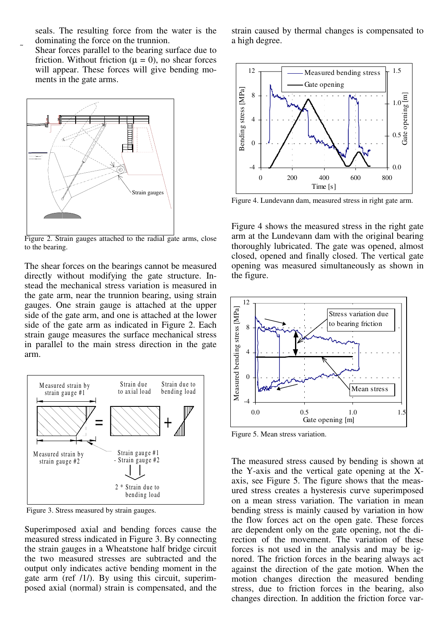seals. The resulting force from the water is the dominating the force on the trunnion.

 Shear forces parallel to the bearing surface due to friction. Without friction ( $\mu = 0$ ), no shear forces will appear. These forces will give bending moments in the gate arms.



Figure 2. Strain gauges attached to the radial gate arms, close to the bearing.

The shear forces on the bearings cannot be measured directly without modifying the gate structure. Instead the mechanical stress variation is measured in the gate arm, near the trunnion bearing, using strain gauges. One strain gauge is attached at the upper side of the gate arm, and one is attached at the lower side of the gate arm as indicated in Figure 2. Each strain gauge measures the surface mechanical stress in parallel to the main stress direction in the gate arm.



Figure 3. Stress measured by strain gauges.

Superimposed axial and bending forces cause the measured stress indicated in Figure 3. By connecting the strain gauges in a Wheatstone half bridge circuit the two measured stresses are subtracted and the output only indicates active bending moment in the gate arm (ref /1/). By using this circuit, superimposed axial (normal) strain is compensated, and the

strain caused by thermal changes is compensated to a high degree.



Figure 4. Lundevann dam, measured stress in right gate arm.

Figure 4 shows the measured stress in the right gate arm at the Lundevann dam with the original bearing thoroughly lubricated. The gate was opened, almost closed, opened and finally closed. The vertical gate opening was measured simultaneously as shown in the figure.



Figure 5. Mean stress variation.

The measured stress caused by bending is shown at the Y-axis and the vertical gate opening at the Xaxis, see Figure 5. The figure shows that the measured stress creates a hysteresis curve superimposed on a mean stress variation. The variation in mean bending stress is mainly caused by variation in how the flow forces act on the open gate. These forces are dependent only on the gate opening, not the direction of the movement. The variation of these forces is not used in the analysis and may be ignored. The friction forces in the bearing always act against the direction of the gate motion. When the motion changes direction the measured bending stress, due to friction forces in the bearing, also changes direction. In addition the friction force var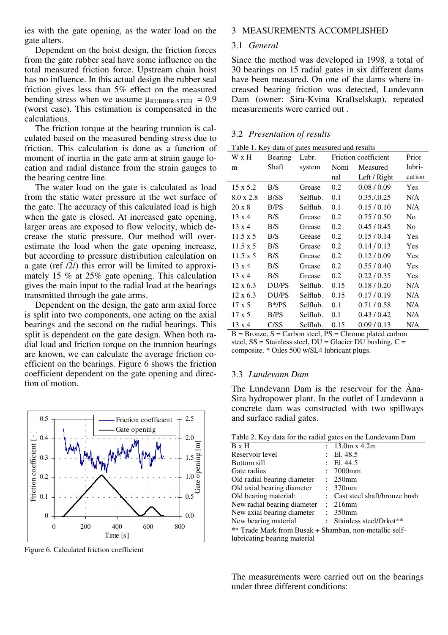ies with the gate opening, as the water load on the gate alters.

Dependent on the hoist design, the friction forces from the gate rubber seal have some influence on the total measured friction force. Upstream chain hoist has no influence. In this actual design the rubber seal friction gives less than 5% effect on the measured bending stress when we assume  $\mu_{\text{RUBBER-STEEL}} = 0.9$ (worst case). This estimation is compensated in the calculations.

The friction torque at the bearing trunnion is calculated based on the measured bending stress due to friction. This calculation is done as a function of moment of inertia in the gate arm at strain gauge location and radial distance from the strain gauges to the bearing centre line.

The water load on the gate is calculated as load from the static water pressure at the wet surface of the gate. The accuracy of this calculated load is high when the gate is closed. At increased gate opening, larger areas are exposed to flow velocity, which decrease the static pressure. Our method will overestimate the load when the gate opening increase, but according to pressure distribution calculation on a gate (ref /2/) this error will be limited to approximately 15 % at 25% gate opening. This calculation gives the main input to the radial load at the bearings transmitted through the gate arms.

Dependent on the design, the gate arm axial force is split into two components, one acting on the axial bearings and the second on the radial bearings. This split is dependent on the gate design. When both radial load and friction torque on the trunnion bearings are known, we can calculate the average friction coefficient on the bearings. Figure 6 shows the friction coefficient dependent on the gate opening and direction of motion.



Figure 6. Calculated friction coefficient

#### 3 MEASUREMENTS ACCOMPLISHED

#### 3.1 *General*

Since the method was developed in 1998, a total of 30 bearings on 15 radial gates in six different dams have been measured. On one of the dams where increased bearing friction was detected, Lundevann Dam (owner: Sira-Kvina Kraftselskap), repeated measurements were carried out .

## 3.2 *Presentation of results*

|  |  |  |  |  | Table 1. Key data of gates measured and results |  |  |
|--|--|--|--|--|-------------------------------------------------|--|--|
|--|--|--|--|--|-------------------------------------------------|--|--|

| Lubr. | Friction coefficient                                                                                                                                                       |                |
|-------|----------------------------------------------------------------------------------------------------------------------------------------------------------------------------|----------------|
|       | Measured                                                                                                                                                                   | lubri-         |
| nal   | Left / Right                                                                                                                                                               | cation         |
| 0.2   | 0.08 / 0.09                                                                                                                                                                | Yes            |
| 0.1   | $0.35 \cdot 0.25$                                                                                                                                                          | N/A            |
| 0.1   | 0.15/0.10                                                                                                                                                                  | N/A            |
| 0.2   | 0.75/0.50                                                                                                                                                                  | No.            |
| 0.2   | 0.45/0.45                                                                                                                                                                  | N <sub>o</sub> |
| 0.2   | 0.15/0.14                                                                                                                                                                  | Yes            |
| 0.2   | 0.14/0.13                                                                                                                                                                  | Yes            |
| 0.2   | 0.12/0.09                                                                                                                                                                  | Yes            |
| 0.2   | 0.55/0.40                                                                                                                                                                  | Yes            |
| 0.2   | 0.22/0.35                                                                                                                                                                  | Yes            |
| 0.15  | 0.18 / 0.20                                                                                                                                                                | N/A            |
| 0.15  | 0.17/0.19                                                                                                                                                                  | N/A            |
| 0.1   | 0.71/0.58                                                                                                                                                                  | N/A            |
| 0.1   | 0.43/0.42                                                                                                                                                                  | N/A            |
| 0.15  | 0.09 / 0.13                                                                                                                                                                | N/A            |
|       | system<br>Grease<br>Selflub.<br>Selflub.<br>Grease<br>Grease<br>Grease<br>Grease<br>Grease<br>Grease<br>Grease<br>Selflub.<br>Selflub.<br>Selflub.<br>Selflub.<br>Selflub. | Nomi           |

 $B = B$ ronze,  $S =$  Carbon steel,  $PS =$  Chrome plated carbon steel,  $SS = Stainless steel$ ,  $DU = Glacier DU$  bushing,  $C =$ composite. \* Oiles 500 w/SL4 lubricant plugs.

#### 3.3 *Lundevann Dam*

The Lundevann Dam is the reservoir for the Åna-Sira hydropower plant. In the outlet of Lundevann a concrete dam was constructed with two spillways and surface radial gates.

Table 2. Key data for the radial gates on the Lundevann Dam

| B x H                       |                           | : $13.0m \times 4.2m$          |
|-----------------------------|---------------------------|--------------------------------|
| Reservoir level             |                           | : El. $48.5$                   |
| Bottom sill                 |                           | : El. 44.5                     |
| Gate radius                 |                           | : 7000mm                       |
| Old radial bearing diameter | $\mathbb{R}^{\mathbb{Z}}$ | $250$ mm                       |
| Old axial bearing diameter  |                           | $: 370$ mm                     |
| Old bearing material:       |                           | : Cast steel shaft/bronze bush |
| New radial bearing diameter |                           | : 216mm                        |
| New axial bearing diameter  |                           | $: 350$ mm                     |
| New bearing material        |                           | : Stainless steel/Orkot**      |
| .                           |                           |                                |

\*\* Trade Mark from Busak + Shamban, non-metallic selflubricating bearing material

The measurements were carried out on the bearings under three different conditions: